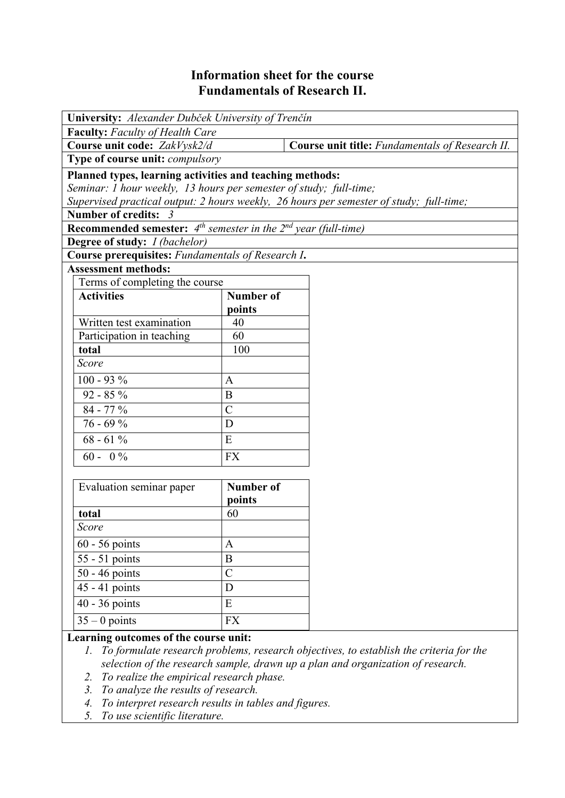## **Information sheet for the course Fundamentals of Research II.**

| University: Alexander Dubček University of Trenčín                                      |                  |                                                 |  |  |  |  |  |
|-----------------------------------------------------------------------------------------|------------------|-------------------------------------------------|--|--|--|--|--|
| <b>Faculty:</b> Faculty of Health Care                                                  |                  |                                                 |  |  |  |  |  |
| Course unit code: ZakVysk2/d                                                            |                  | Course unit title: Fundamentals of Research II. |  |  |  |  |  |
| Type of course unit: compulsory                                                         |                  |                                                 |  |  |  |  |  |
| Planned types, learning activities and teaching methods:                                |                  |                                                 |  |  |  |  |  |
| Seminar: 1 hour weekly, 13 hours per semester of study; full-time;                      |                  |                                                 |  |  |  |  |  |
| Supervised practical output: 2 hours weekly, 26 hours per semester of study; full-time; |                  |                                                 |  |  |  |  |  |
| Number of credits: 3                                                                    |                  |                                                 |  |  |  |  |  |
| <b>Recommended semester:</b> $4^{th}$ semester in the $2^{nd}$ year (full-time)         |                  |                                                 |  |  |  |  |  |
| Degree of study: I (bachelor)                                                           |                  |                                                 |  |  |  |  |  |
| Course prerequisites: Fundamentals of Research I.                                       |                  |                                                 |  |  |  |  |  |
| <b>Assessment methods:</b>                                                              |                  |                                                 |  |  |  |  |  |
| Terms of completing the course                                                          |                  |                                                 |  |  |  |  |  |
| <b>Activities</b>                                                                       | <b>Number of</b> |                                                 |  |  |  |  |  |
|                                                                                         | points           |                                                 |  |  |  |  |  |
| Written test examination                                                                | 40               |                                                 |  |  |  |  |  |
| Participation in teaching                                                               | 60               |                                                 |  |  |  |  |  |
| total                                                                                   | 100              |                                                 |  |  |  |  |  |
| Score                                                                                   |                  |                                                 |  |  |  |  |  |
| $100 - 93 %$                                                                            | $\mathbf{A}$     |                                                 |  |  |  |  |  |
| $92 - 85 \%$                                                                            | B                |                                                 |  |  |  |  |  |
| 84 - 77 %                                                                               | $\overline{C}$   |                                                 |  |  |  |  |  |
| $76 - 69%$                                                                              | D                |                                                 |  |  |  |  |  |
| $68 - 61\%$                                                                             | ${\bf E}$        |                                                 |  |  |  |  |  |
| $60 - 0\%$                                                                              | <b>FX</b>        |                                                 |  |  |  |  |  |
|                                                                                         |                  |                                                 |  |  |  |  |  |
| Evaluation seminar paper                                                                | <b>Number of</b> |                                                 |  |  |  |  |  |
|                                                                                         | points           |                                                 |  |  |  |  |  |
| total                                                                                   | 60               |                                                 |  |  |  |  |  |
| Score                                                                                   |                  |                                                 |  |  |  |  |  |
| 60 - 56 points                                                                          | A                |                                                 |  |  |  |  |  |
| 55 - 51 points                                                                          | $\boldsymbol{B}$ |                                                 |  |  |  |  |  |
| 50 - 46 points                                                                          | $\mathcal{C}$    |                                                 |  |  |  |  |  |
| 45 - 41 points                                                                          | D                |                                                 |  |  |  |  |  |
| 40 - 36 points                                                                          | E                |                                                 |  |  |  |  |  |
| $35 - 0$ points                                                                         | <b>FX</b>        |                                                 |  |  |  |  |  |

## **Learning outcomes of the course unit:**

- *1. To formulate research problems, research objectives, to establish the criteria for the selection of the research sample, drawn up a plan and organization of research.*
- *2. To realize the empirical research phase.*
- *3. To analyze the results of research.*
- *4. To interpret research results in tables and figures.*
- *5. To use scientific literature.*